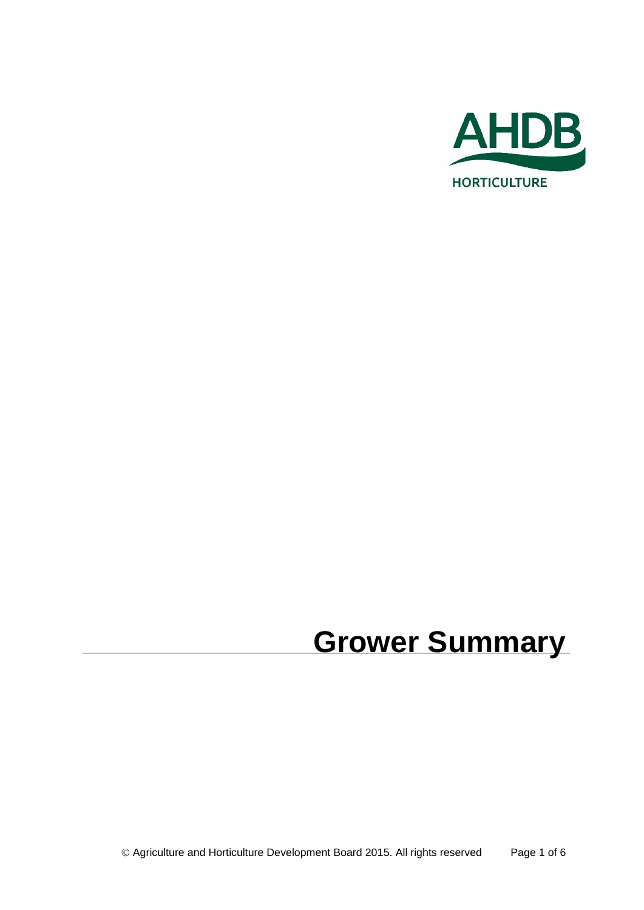

# **Grower Summary**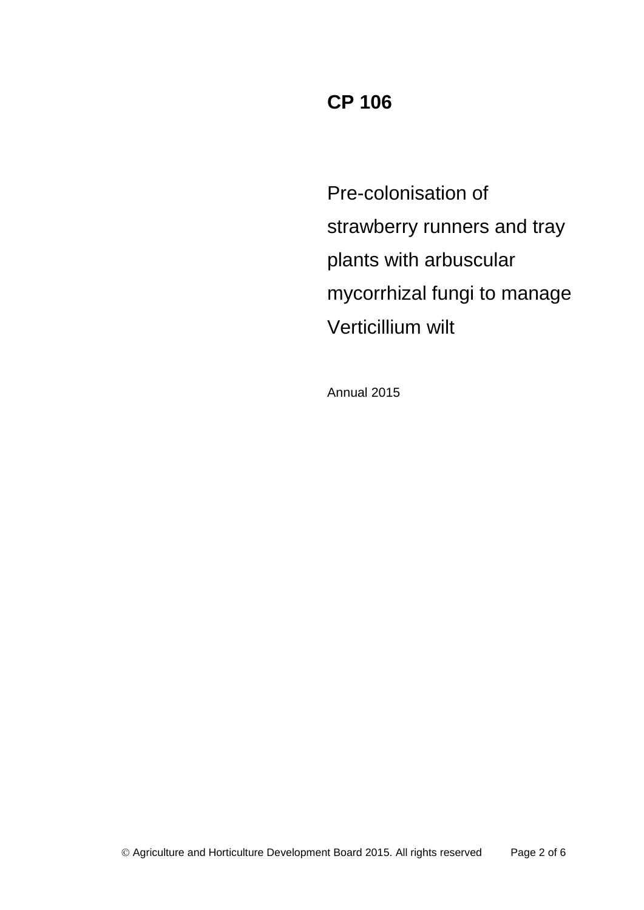# **CP 106**

Pre-colonisation of strawberry runners and tray plants with arbuscular mycorrhizal fungi to manage Verticillium wilt

Annual 2015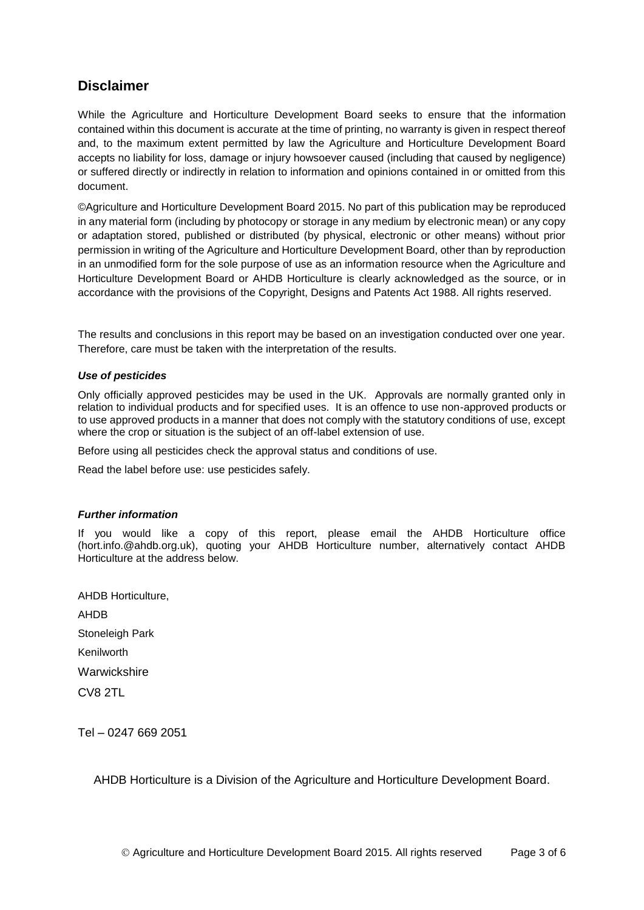### **Disclaimer**

While the Agriculture and Horticulture Development Board seeks to ensure that the information contained within this document is accurate at the time of printing, no warranty is given in respect thereof and, to the maximum extent permitted by law the Agriculture and Horticulture Development Board accepts no liability for loss, damage or injury howsoever caused (including that caused by negligence) or suffered directly or indirectly in relation to information and opinions contained in or omitted from this document.

©Agriculture and Horticulture Development Board 2015. No part of this publication may be reproduced in any material form (including by photocopy or storage in any medium by electronic mean) or any copy or adaptation stored, published or distributed (by physical, electronic or other means) without prior permission in writing of the Agriculture and Horticulture Development Board, other than by reproduction in an unmodified form for the sole purpose of use as an information resource when the Agriculture and Horticulture Development Board or AHDB Horticulture is clearly acknowledged as the source, or in accordance with the provisions of the Copyright, Designs and Patents Act 1988. All rights reserved.

The results and conclusions in this report may be based on an investigation conducted over one year. Therefore, care must be taken with the interpretation of the results.

#### *Use of pesticides*

Only officially approved pesticides may be used in the UK. Approvals are normally granted only in relation to individual products and for specified uses. It is an offence to use non-approved products or to use approved products in a manner that does not comply with the statutory conditions of use, except where the crop or situation is the subject of an off-label extension of use.

Before using all pesticides check the approval status and conditions of use.

Read the label before use: use pesticides safely.

#### *Further information*

If you would like a copy of this report, please email the AHDB Horticulture office (hort.info.@ahdb.org.uk), quoting your AHDB Horticulture number, alternatively contact AHDB Horticulture at the address below.

AHDB Horticulture, AHDB Stoneleigh Park Kenilworth Warwickshire CV8 2TL

Tel – 0247 669 2051

AHDB Horticulture is a Division of the Agriculture and Horticulture Development Board.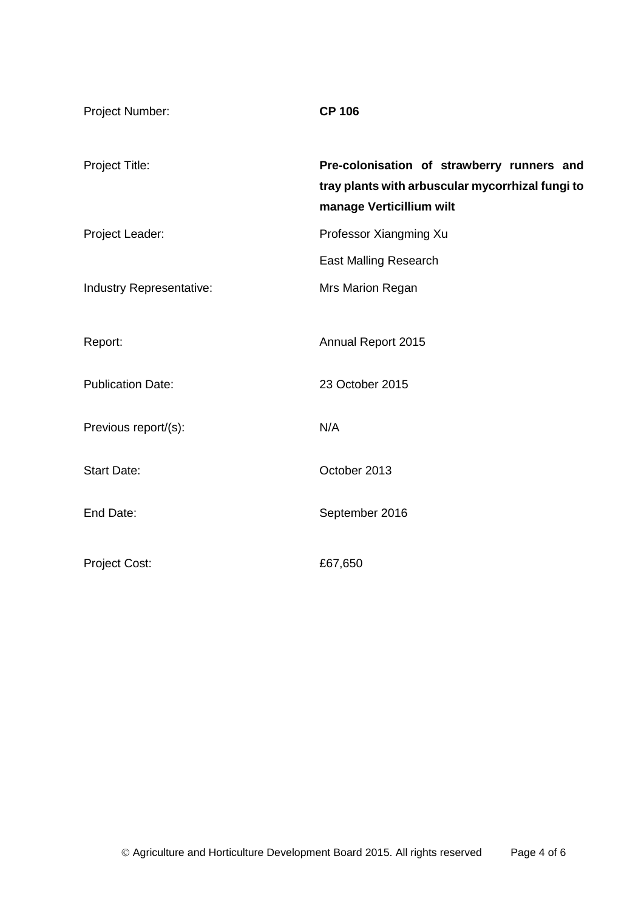| Project Number:          | <b>CP 106</b>                                                                                                              |
|--------------------------|----------------------------------------------------------------------------------------------------------------------------|
| Project Title:           | Pre-colonisation of strawberry runners and<br>tray plants with arbuscular mycorrhizal fungi to<br>manage Verticillium wilt |
| Project Leader:          | Professor Xiangming Xu                                                                                                     |
|                          | <b>East Malling Research</b>                                                                                               |
| Industry Representative: | Mrs Marion Regan                                                                                                           |
|                          |                                                                                                                            |
| Report:                  | Annual Report 2015                                                                                                         |
| <b>Publication Date:</b> | 23 October 2015                                                                                                            |
| Previous report/(s):     | N/A                                                                                                                        |
| <b>Start Date:</b>       | October 2013                                                                                                               |
| End Date:                | September 2016                                                                                                             |
| <b>Project Cost:</b>     | £67,650                                                                                                                    |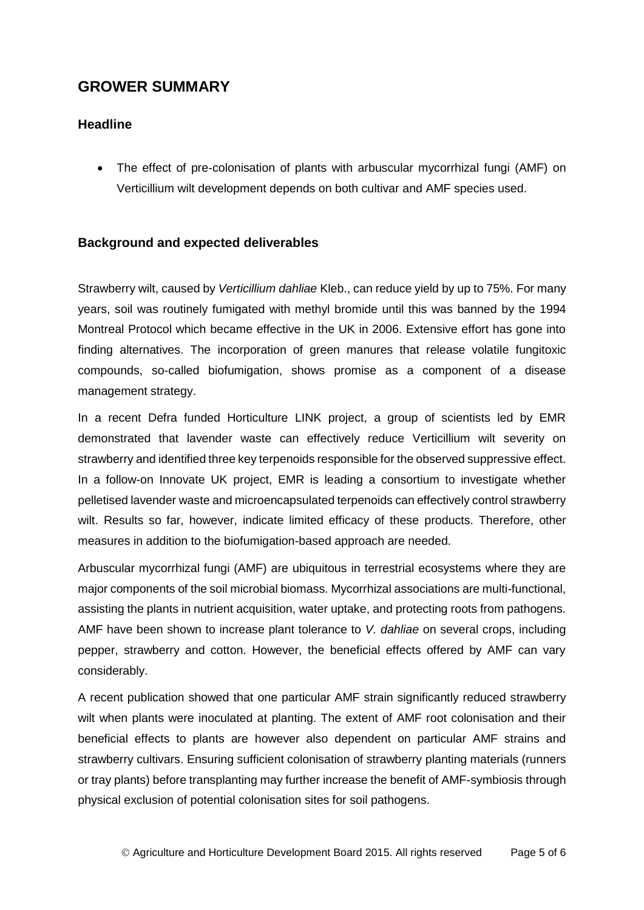## **GROWER SUMMARY**

#### **Headline**

 The effect of pre-colonisation of plants with arbuscular mycorrhizal fungi (AMF) on Verticillium wilt development depends on both cultivar and AMF species used.

#### **Background and expected deliverables**

Strawberry wilt, caused by *Verticillium dahliae* Kleb., can reduce yield by up to 75%. For many years, soil was routinely fumigated with methyl bromide until this was banned by the 1994 Montreal Protocol which became effective in the UK in 2006. Extensive effort has gone into finding alternatives. The incorporation of green manures that release volatile fungitoxic compounds, so-called biofumigation, shows promise as a component of a disease management strategy.

In a recent Defra funded Horticulture LINK project, a group of scientists led by EMR demonstrated that lavender waste can effectively reduce Verticillium wilt severity on strawberry and identified three key terpenoids responsible for the observed suppressive effect. In a follow-on Innovate UK project, EMR is leading a consortium to investigate whether pelletised lavender waste and microencapsulated terpenoids can effectively control strawberry wilt. Results so far, however, indicate limited efficacy of these products. Therefore, other measures in addition to the biofumigation-based approach are needed.

Arbuscular mycorrhizal fungi (AMF) are ubiquitous in terrestrial ecosystems where they are major components of the soil microbial biomass. Mycorrhizal associations are multi-functional, assisting the plants in nutrient acquisition, water uptake, and protecting roots from pathogens. AMF have been shown to increase plant tolerance to *V. dahliae* on several crops, including pepper, strawberry and cotton. However, the beneficial effects offered by AMF can vary considerably.

A recent publication showed that one particular AMF strain significantly reduced strawberry wilt when plants were inoculated at planting. The extent of AMF root colonisation and their beneficial effects to plants are however also dependent on particular AMF strains and strawberry cultivars. Ensuring sufficient colonisation of strawberry planting materials (runners or tray plants) before transplanting may further increase the benefit of AMF-symbiosis through physical exclusion of potential colonisation sites for soil pathogens.